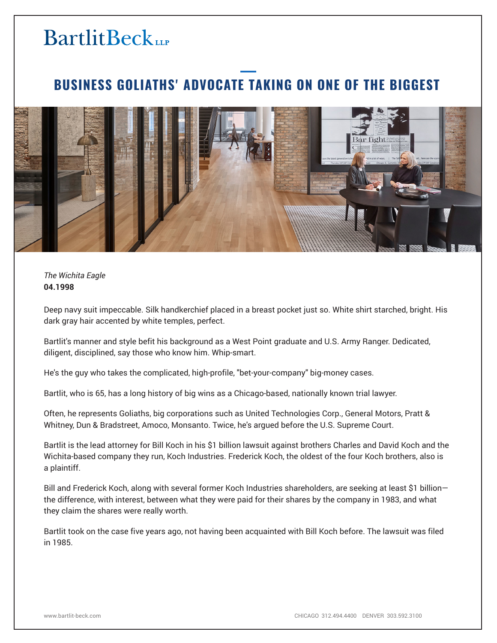## **BartlitBeck**

## **BUSINESS GOLIATHS' ADVOCATE TAKING ON ONE OF THE BIGGEST**



*The Wichita Eagle* **04.1998**

Deep navy suit impeccable. Silk handkerchief placed in a breast pocket just so. White shirt starched, bright. His dark gray hair accented by white temples, perfect.

Bartlit's manner and style befit his background as a West Point graduate and U.S. Army Ranger. Dedicated, diligent, disciplined, say those who know him. Whip-smart.

He's the guy who takes the complicated, high-profile, "bet-your-company" big-money cases.

Bartlit, who is 65, has a long history of big wins as a Chicago-based, nationally known trial lawyer.

Often, he represents Goliaths, big corporations such as United Technologies Corp., General Motors, Pratt & Whitney, Dun & Bradstreet, Amoco, Monsanto. Twice, he's argued before the U.S. Supreme Court.

Bartlit is the lead attorney for Bill Koch in his \$1 billion lawsuit against brothers Charles and David Koch and the Wichita-based company they run, Koch Industries. Frederick Koch, the oldest of the four Koch brothers, also is a plaintiff.

Bill and Frederick Koch, along with several former Koch Industries shareholders, are seeking at least \$1 billion the difference, with interest, between what they were paid for their shares by the company in 1983, and what they claim the shares were really worth.

Bartlit took on the case five years ago, not having been acquainted with Bill Koch before. The lawsuit was filed in 1985.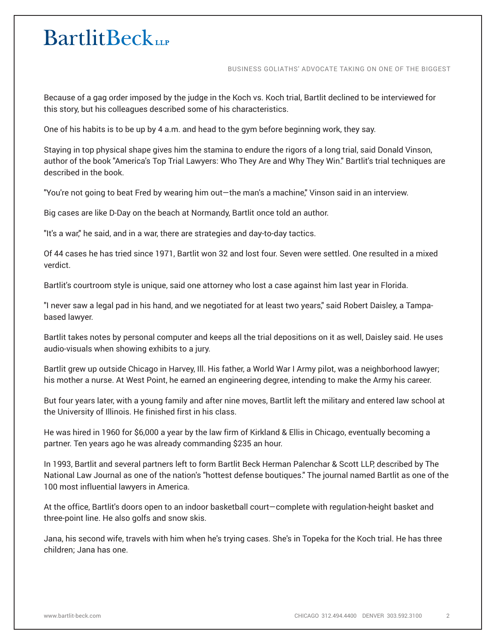## **BartlitBeck**

BUSINESS GOLIATHS' ADVOCATE TAKING ON ONE OF THE BIGGEST

Because of a gag order imposed by the judge in the Koch vs. Koch trial, Bartlit declined to be interviewed for this story, but his colleagues described some of his characteristics.

One of his habits is to be up by 4 a.m. and head to the gym before beginning work, they say.

Staying in top physical shape gives him the stamina to endure the rigors of a long trial, said Donald Vinson, author of the book "America's Top Trial Lawyers: Who They Are and Why They Win." Bartlit's trial techniques are described in the book.

"You're not going to beat Fred by wearing him out—the man's a machine," Vinson said in an interview.

Big cases are like D-Day on the beach at Normandy, Bartlit once told an author.

"It's a war," he said, and in a war, there are strategies and day-to-day tactics.

Of 44 cases he has tried since 1971, Bartlit won 32 and lost four. Seven were settled. One resulted in a mixed verdict.

Bartlit's courtroom style is unique, said one attorney who lost a case against him last year in Florida.

"I never saw a legal pad in his hand, and we negotiated for at least two years," said Robert Daisley, a Tampabased lawyer.

Bartlit takes notes by personal computer and keeps all the trial depositions on it as well, Daisley said. He uses audio-visuals when showing exhibits to a jury.

Bartlit grew up outside Chicago in Harvey, Ill. His father, a World War I Army pilot, was a neighborhood lawyer; his mother a nurse. At West Point, he earned an engineering degree, intending to make the Army his career.

But four years later, with a young family and after nine moves, Bartlit left the military and entered law school at the University of Illinois. He finished first in his class.

He was hired in 1960 for \$6,000 a year by the law firm of Kirkland & Ellis in Chicago, eventually becoming a partner. Ten years ago he was already commanding \$235 an hour.

In 1993, Bartlit and several partners left to form Bartlit Beck Herman Palenchar & Scott LLP, described by The National Law Journal as one of the nation's "hottest defense boutiques." The journal named Bartlit as one of the 100 most influential lawyers in America.

At the office, Bartlit's doors open to an indoor basketball court—complete with regulation-height basket and three-point line. He also golfs and snow skis.

Jana, his second wife, travels with him when he's trying cases. She's in Topeka for the Koch trial. He has three children; Jana has one.